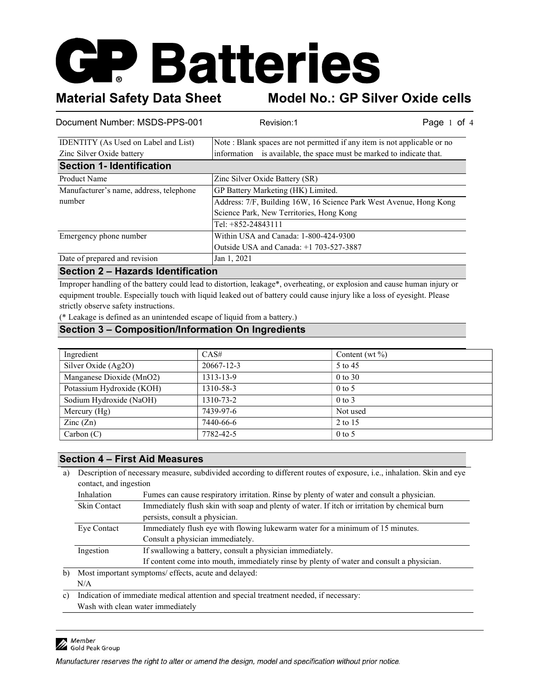# **GP Batteries**

Material Safety Data Sheet Model No.: GP Silver Oxide cells

| Document Number: MSDS-PPS-001               | Revision:1                                                               | Page 1<br>of $4$ |
|---------------------------------------------|--------------------------------------------------------------------------|------------------|
| <b>IDENTITY</b> (As Used on Label and List) | Note: Blank spaces are not permitted if any item is not applicable or no |                  |
| Zinc Silver Oxide battery                   | information is available, the space must be marked to indicate that.     |                  |
| <b>Section 1- Identification</b>            |                                                                          |                  |
| Product Name                                | Zinc Silver Oxide Battery (SR)                                           |                  |
| Manufacturer's name, address, telephone     | GP Battery Marketing (HK) Limited.                                       |                  |
| number                                      | Address: 7/F, Building 16W, 16 Science Park West Avenue, Hong Kong       |                  |
|                                             | Science Park, New Territories, Hong Kong                                 |                  |
|                                             | Tel: +852-24843111                                                       |                  |
| Emergency phone number                      | Within USA and Canada: 1-800-424-9300                                    |                  |
|                                             | Outside USA and Canada: +1 703-527-3887                                  |                  |
| Date of prepared and revision               | Jan 1, 2021                                                              |                  |
| Castian O. Haranda Identification           |                                                                          |                  |

#### Section 2 – Hazards Identification

Improper handling of the battery could lead to distortion, leakage\*, overheating, or explosion and cause human injury or equipment trouble. Especially touch with liquid leaked out of battery could cause injury like a loss of eyesight. Please strictly observe safety instructions.

(\* Leakage is defined as an unintended escape of liquid from a battery.)

### Section 3 – Composition/Information On Ingredients

| Ingredient                | CAS#       | Content (wt $\%$ ) |
|---------------------------|------------|--------------------|
| Silver Oxide (Ag2O)       | 20667-12-3 | 5 to 45            |
| Manganese Dioxide (MnO2)  | 1313-13-9  | $0$ to 30          |
| Potassium Hydroxide (KOH) | 1310-58-3  | $0$ to 5           |
| Sodium Hydroxide (NaOH)   | 1310-73-2  | $0$ to $3$         |
| Mercury $(Hg)$            | 7439-97-6  | Not used           |
| $\text{Zinc}(\text{Zn})$  | 7440-66-6  | 2 to 15            |
| Carbon (C)                | 7782-42-5  | $0$ to 5           |

#### Section 4 – First Aid Measures

a) Description of necessary measure, subdivided according to different routes of exposure, i.e., inhalation. Skin and eye contact, and ingestion

| Inhalation   | Fumes can cause respiratory irritation. Rinse by plenty of water and consult a physician.    |
|--------------|----------------------------------------------------------------------------------------------|
| Skin Contact | Immediately flush skin with soap and plenty of water. If itch or irritation by chemical burn |
|              | persists, consult a physician.                                                               |
| Eye Contact  | Immediately flush eye with flowing lukewarm water for a minimum of 15 minutes.               |
|              | Consult a physician immediately.                                                             |
| Ingestion    | If swallowing a battery, consult a physician immediately.                                    |
|              | If content come into mouth, immediately rinse by plenty of water and consult a physician.    |

b) Most important symptoms/ effects, acute and delayed: N/A

c) Indication of immediate medical attention and special treatment needed, if necessary: Wash with clean water immediately

Member<br>A Gold Peak Group

Manufacturer reserves the right to alter or amend the design, model and specification without prior notice.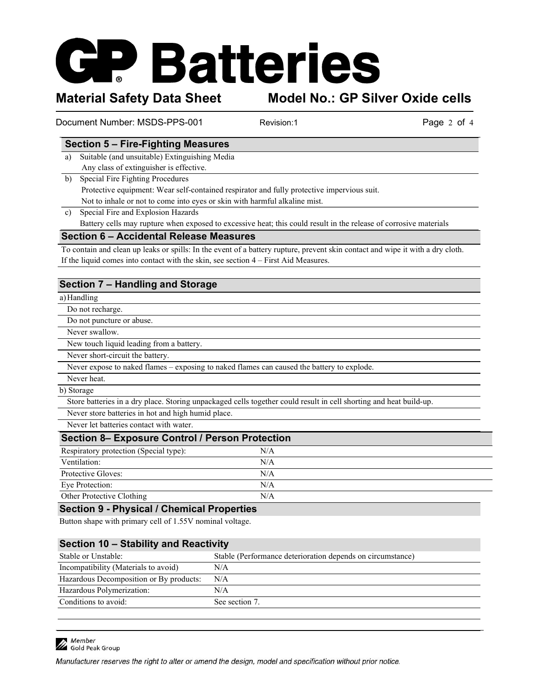# **Batteries**

Material Safety Data Sheet Model No.: GP Silver Oxide cells

Document Number: MSDS-PPS-001 Revision:1 Revision:1 Page 2 of 4

### Section 5 – Fire-Fighting Measures

a) Suitable (and unsuitable) Extinguishing Media Any class of extinguisher is effective.

b) Special Fire Fighting Procedures Protective equipment: Wear self-contained respirator and fully protective impervious suit. Not to inhale or not to come into eyes or skin with harmful alkaline mist.

c) Special Fire and Explosion Hazards Battery cells may rupture when exposed to excessive heat; this could result in the release of corrosive materials

## Section 6 – Accidental Release Measures

To contain and clean up leaks or spills: In the event of a battery rupture, prevent skin contact and wipe it with a dry cloth. If the liquid comes into contact with the skin, see section 4 – First Aid Measures.

# Section 7 – Handling and Storage

### a)Handling

Do not recharge.

Do not puncture or abuse.

Never swallow.

New touch liquid leading from a battery.

Never short-circuit the battery.

Never expose to naked flames – exposing to naked flames can caused the battery to explode.

Never heat.

#### b) Storage

Store batteries in a dry place. Storing unpackaged cells together could result in cell shorting and heat build-up.

Never store batteries in hot and high humid place.

Never let batteries contact with water.

| <b>Section 8– Exposure Control / Person Protection</b> |     |  |  |
|--------------------------------------------------------|-----|--|--|
| Respiratory protection (Special type):                 | N/A |  |  |
| Ventilation:                                           | N/A |  |  |
| Protective Gloves:                                     | N/A |  |  |
| Eye Protection:                                        | N/A |  |  |
| Other Protective Clothing                              | N/A |  |  |

#### Section 9 - Physical / Chemical Properties

Button shape with primary cell of 1.55V nominal voltage.

## Section 10 – Stability and Reactivity

| Stable or Unstable:                     | Stable (Performance deterioration depends on circumstance) |
|-----------------------------------------|------------------------------------------------------------|
| Incompatibility (Materials to avoid)    | N/A                                                        |
| Hazardous Decomposition or By products: | N/A                                                        |
| Hazardous Polymerization:               | N/A                                                        |
| Conditions to avoid:                    | See section 7.                                             |
|                                         |                                                            |

Member<br>A Gold Peak Group

Manufacturer reserves the right to alter or amend the design, model and specification without prior notice.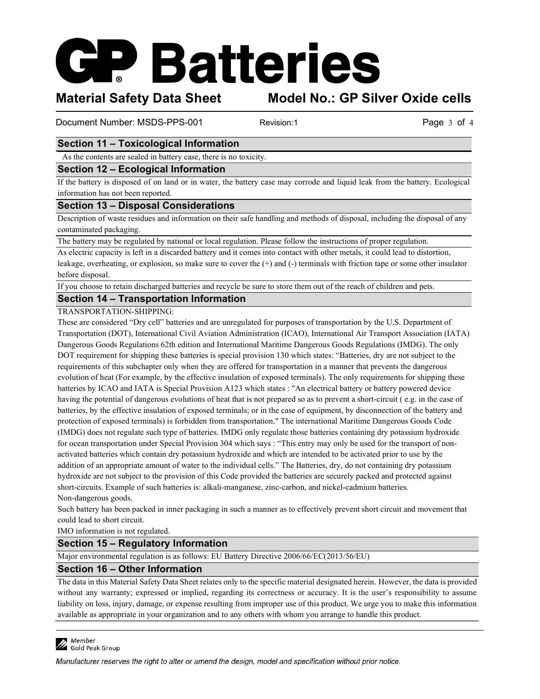# **Batteries**

Material Safety Data Sheet Model No.: GP Silver Oxide cells

Document Number: MSDS-PPS-001 Revision:1 Revision:1 Page 3 of 4

# Section 11 – Toxicological Information

As the contents are sealed in battery case, there is no toxicity.

### Section 12 – Ecological Information

If the battery is disposed of on land or in water, the battery case may corrode and liquid leak from the battery. Ecological information has not been reported.

### Section 13 – Disposal Considerations

Description of waste residues and information on their safe handling and methods of disposal, including the disposal of any contaminated packaging.

The battery may be regulated by national or local regulation. Please follow the instructions of proper regulation.

As electric capacity is left in a discarded battery and it comes into contact with other metals, it could lead to distortion, leakage, overheating, or explosion, so make sure to cover the (+) and (-) terminals with friction tape or some other insulator before disposal.

If you choose to retain discharged batteries and recycle be sure to store them out of the reach of children and pets.

### Section 14 – Transportation Information

#### TRANSPORTATION-SHIPPING:

These are considered "Dry cell" batteries and are unregulated for purposes of transportation by the U.S. Department of Transportation (DOT), International Civil Aviation Administration (ICAO), International Air Transport Association (IATA) Dangerous Goods Regulations 62th edition and International Maritime Dangerous Goods Regulations (IMDG). The only DOT requirement for shipping these batteries is special provision 130 which states: "Batteries, dry are not subject to the requirements of this subchapter only when they are offered for transportation in a manner that prevents the dangerous evolution of heat (For example, by the effective insulation of exposed terminals). The only requirements for shipping these batteries by ICAO and IATA is Special Provision A123 which states : "An electrical battery or battery powered device having the potential of dangerous evolutions of heat that is not prepared so as to prevent a short-circuit ( e.g. in the case of batteries, by the effective insulation of exposed terminals; or in the case of equipment, by disconnection of the battery and protection of exposed terminals) is forbidden from transportation." The international Maritime Dangerous Goods Code (IMDG) does not regulate such type of batteries. IMDG only regulate those batteries containing dry potassium hydroxide for ocean transportation under Special Provision 304 which says : "This entry may only be used for the transport of nonactivated batteries which contain dry potassium hydroxide and which are intended to be activated prior to use by the addition of an appropriate amount of water to the individual cells." The Batteries, dry, do not containing dry potassium hydroxide are not subject to the provision of this Code provided the batteries are securely packed and protected against short-circuits. Example of such batteries is: alkali-manganese, zinc-carbon, and nickel-cadmium batteries. Non-dangerous goods.

Such battery has been packed in inner packaging in such a manner as to effectively prevent short circuit and movement that could lead to short circuit.

IMO information is not regulated.

## Section 15 – Regulatory Information

Major environmental regulation is as follows: EU Battery Directive 2006/66/EC(2013/56/EU)

## Section 16 – Other Information

The data in this Material Safety Data Sheet relates only to the specific material designated herein. However, the data is provided without any warranty; expressed or implied, regarding its correctness or accuracy. It is the user's responsibility to assume liability on loss, injury, damage, or expense resulting from improper use of this product. We urge you to make this information available as appropriate in your organization and to any others with whom you arrange to handle this product.



Manufacturer reserves the right to alter or amend the design, model and specification without prior notice.